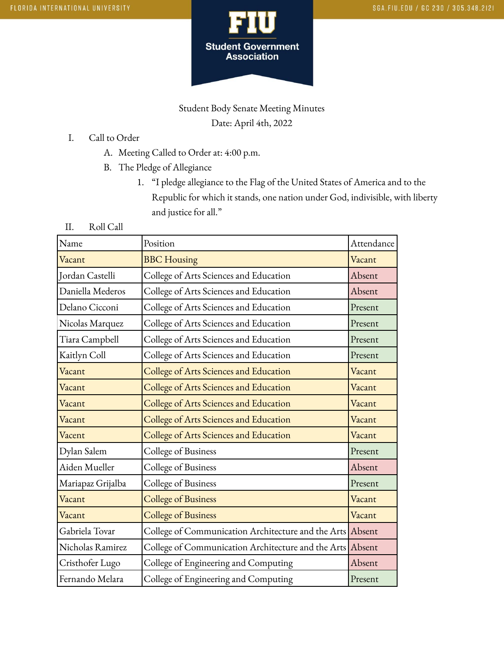

# Student Body Senate Meeting Minutes Date: April 4th, 2022

### I. Call to Order

- A. Meeting Called to Order at: 4:00 p.m.
- B. The Pledge of Allegiance
	- 1. "I pledge allegiance to the Flag of the United States of America and to the Republic for which it stands, one nation under God, indivisible, with liberty and justice for all."

### II. Roll Call

| Name              | Position                                                  | Attendance |
|-------------------|-----------------------------------------------------------|------------|
| Vacant            | <b>BBC</b> Housing                                        | Vacant     |
| Jordan Castelli   | College of Arts Sciences and Education                    | Absent     |
| Daniella Mederos  | College of Arts Sciences and Education                    | Absent     |
| Delano Cicconi    | College of Arts Sciences and Education                    | Present    |
| Nicolas Marquez   | College of Arts Sciences and Education                    | Present    |
| Tiara Campbell    | College of Arts Sciences and Education                    | Present    |
| Kaitlyn Coll      | College of Arts Sciences and Education                    | Present    |
| Vacant            | College of Arts Sciences and Education                    | Vacant     |
| Vacant            | College of Arts Sciences and Education                    | Vacant     |
| Vacant            | College of Arts Sciences and Education                    | Vacant     |
| Vacant            | College of Arts Sciences and Education                    | Vacant     |
| Vacent            | College of Arts Sciences and Education                    | Vacant     |
| Dylan Salem       | College of Business                                       | Present    |
| Aiden Mueller     | College of Business                                       | Absent     |
| Mariapaz Grijalba | College of Business                                       | Present    |
| Vacant            | <b>College of Business</b>                                | Vacant     |
| Vacant            | <b>College of Business</b>                                | Vacant     |
| Gabriela Tovar    | College of Communication Architecture and the Arts Absent |            |
| Nicholas Ramirez  | College of Communication Architecture and the Arts Absent |            |
| Cristhofer Lugo   | College of Engineering and Computing                      | Absent     |
| Fernando Melara   | College of Engineering and Computing                      | Present    |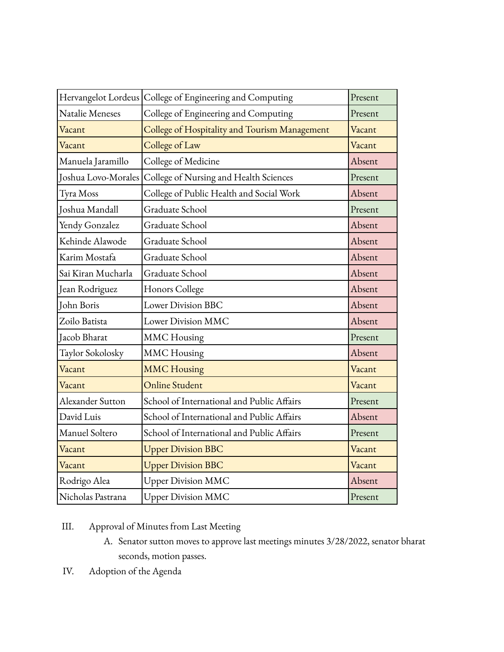|                     | Hervangelot Lordeus College of Engineering and Computing | Present |
|---------------------|----------------------------------------------------------|---------|
| Natalie Meneses     | College of Engineering and Computing                     | Present |
| Vacant              | College of Hospitality and Tourism Management            | Vacant  |
| Vacant              | College of Law                                           | Vacant  |
| Manuela Jaramillo   | College of Medicine                                      | Absent  |
| Joshua Lovo-Morales | College of Nursing and Health Sciences                   | Present |
| Tyra Moss           | College of Public Health and Social Work                 | Absent  |
| Joshua Mandall      | Graduate School                                          | Present |
| Yendy Gonzalez      | Graduate School                                          | Absent  |
| Kehinde Alawode     | Graduate School                                          | Absent  |
| Karim Mostafa       | Graduate School                                          | Absent  |
| Sai Kiran Mucharla  | Graduate School                                          | Absent  |
| Jean Rodriguez      | Honors College                                           | Absent  |
| John Boris          | Lower Division BBC                                       | Absent  |
| Zoilo Batista       | Lower Division MMC                                       | Absent  |
| Jacob Bharat        | <b>MMC</b> Housing                                       | Present |
| Taylor Sokolosky    | <b>MMC</b> Housing                                       | Absent  |
| Vacant              | <b>MMC Housing</b>                                       | Vacant  |
| Vacant              | <b>Online Student</b>                                    | Vacant  |
| Alexander Sutton    | School of International and Public Affairs               | Present |
| David Luis          | School of International and Public Affairs               | Absent  |
| Manuel Soltero      | School of International and Public Affairs               | Present |
| Vacant              | <b>Upper Division BBC</b>                                | Vacant  |
| Vacant              | <b>Upper Division BBC</b>                                | Vacant  |
| Rodrigo Alea        | <b>Upper Division MMC</b>                                | Absent  |
| Nicholas Pastrana   | <b>Upper Division MMC</b>                                | Present |

## III. Approval of Minutes from Last Meeting

- A. Senator sutton moves to approve last meetings minutes 3/28/2022, senator bharat seconds, motion passes.
- IV. Adoption of the Agenda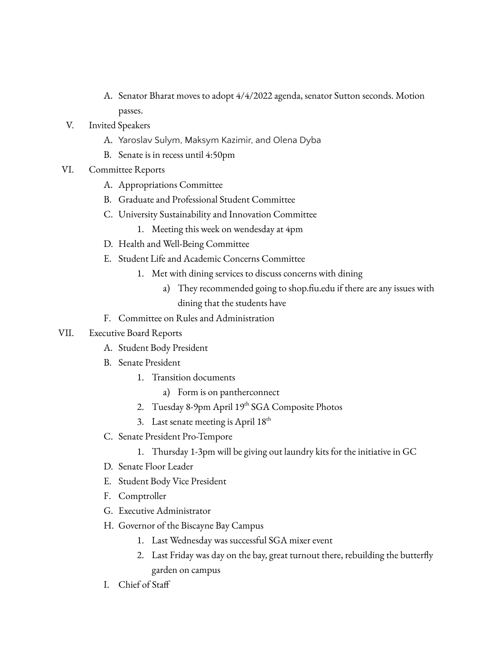- A. Senator Bharat moves to adopt 4/4/2022 agenda, senator Sutton seconds. Motion passes.
- V. Invited Speakers
	- A. Yaroslav Sulym, Maksym Kazimir, and Olena Dyba
	- B. Senate is in recess until 4:50pm
- VI. Committee Reports
	- A. Appropriations Committee
	- B. Graduate and Professional Student Committee
	- C. University Sustainability and Innovation Committee
		- 1. Meeting this week on wendesday at 4pm
	- D. Health and Well-Being Committee
	- E. Student Life and Academic Concerns Committee
		- 1. Met with dining services to discuss concerns with dining
			- a) They recommended going to shop.fiu.edu if there are any issues with dining that the students have
	- F. Committee on Rules and Administration

### VII. Executive Board Reports

- A. Student Body President
- B. Senate President
	- 1. Transition documents
		- a) Form is on pantherconnect
	- 2. Tuesday 8-9pm April 19<sup>th</sup> SGA Composite Photos
	- 3. Last senate meeting is April  $18^{th}$
- C. Senate President Pro-Tempore
	- 1. Thursday 1-3pm will be giving out laundry kits for the initiative in GC
- D. Senate Floor Leader
- E. Student Body Vice President
- F. Comptroller
- G. Executive Administrator
- H. Governor of the Biscayne Bay Campus
	- 1. Last Wednesday was successful SGA mixer event
	- 2. Last Friday was day on the bay, great turnout there, rebuilding the butterfly garden on campus
- I. Chief of Staff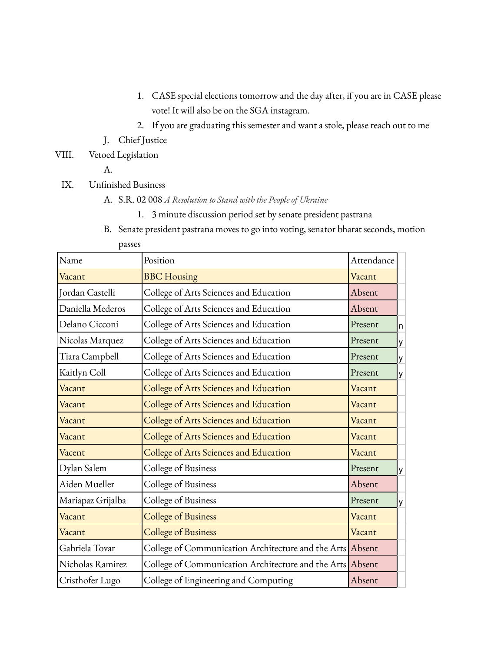- 1. CASE special elections tomorrow and the day after, if you are in CASE please vote! It will also be on the SGA instagram.
- 2. If you are graduating this semester and want a stole, please reach out to me
- J. Chief Justice
- VIII. Vetoed Legislation

A.

- IX. Unfinished Business
	- A. S.R. 02 008 *A Resolution to Stand with the People of Ukraine*
		- 1. 3 minute discussion period set by senate president pastrana
	- B. Senate president pastrana moves to go into voting, senator bharat seconds, motion passes

| Name              | Position                                                  | Attendance |   |
|-------------------|-----------------------------------------------------------|------------|---|
| Vacant            | <b>BBC</b> Housing                                        | Vacant     |   |
| Jordan Castelli   | College of Arts Sciences and Education                    | Absent     |   |
| Daniella Mederos  | College of Arts Sciences and Education                    | Absent     |   |
| Delano Cicconi    | College of Arts Sciences and Education                    | Present    | n |
| Nicolas Marquez   | College of Arts Sciences and Education                    | Present    | у |
| Tiara Campbell    | College of Arts Sciences and Education                    | Present    | у |
| Kaitlyn Coll      | College of Arts Sciences and Education                    | Present    | у |
| Vacant            | College of Arts Sciences and Education                    | Vacant     |   |
| Vacant            | College of Arts Sciences and Education                    | Vacant     |   |
| Vacant            | College of Arts Sciences and Education                    | Vacant     |   |
| Vacant            | College of Arts Sciences and Education                    | Vacant     |   |
| Vacent            | College of Arts Sciences and Education                    | Vacant     |   |
| Dylan Salem       | College of Business                                       | Present    | y |
| Aiden Mueller     | College of Business                                       | Absent     |   |
| Mariapaz Grijalba | College of Business                                       | Present    | y |
| Vacant            | <b>College of Business</b>                                | Vacant     |   |
| Vacant            | <b>College of Business</b>                                | Vacant     |   |
| Gabriela Tovar    | College of Communication Architecture and the Arts Absent |            |   |
| Nicholas Ramirez  | College of Communication Architecture and the Arts Absent |            |   |
| Cristhofer Lugo   | College of Engineering and Computing                      | Absent     |   |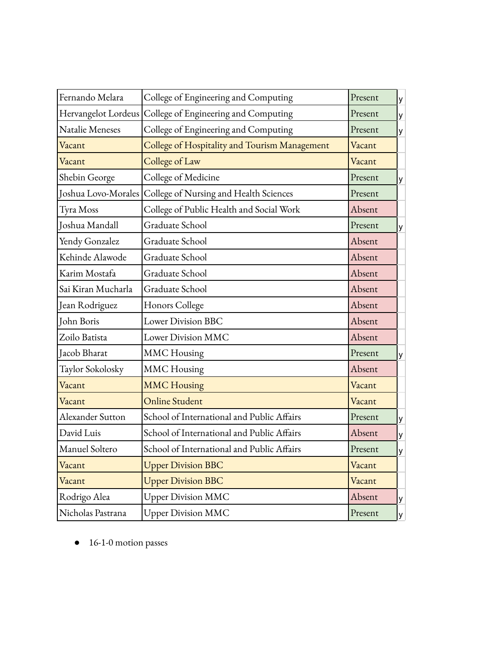| Fernando Melara     | College of Engineering and Computing          | Present | y |
|---------------------|-----------------------------------------------|---------|---|
| Hervangelot Lordeus | College of Engineering and Computing          | Present | y |
| Natalie Meneses     | College of Engineering and Computing          | Present | y |
| Vacant              | College of Hospitality and Tourism Management | Vacant  |   |
| Vacant              | College of Law                                | Vacant  |   |
| Shebin George       | College of Medicine                           | Present | y |
| Joshua Lovo-Morales | College of Nursing and Health Sciences        | Present |   |
| Tyra Moss           | College of Public Health and Social Work      | Absent  |   |
| Joshua Mandall      | Graduate School                               | Present | у |
| Yendy Gonzalez      | Graduate School                               | Absent  |   |
| Kehinde Alawode     | Graduate School                               | Absent  |   |
| Karim Mostafa       | Graduate School                               | Absent  |   |
| Sai Kiran Mucharla  | Graduate School                               | Absent  |   |
| Jean Rodriguez      | Honors College                                | Absent  |   |
| John Boris          | <b>Lower Division BBC</b>                     | Absent  |   |
| Zoilo Batista       | Lower Division MMC                            | Absent  |   |
| Jacob Bharat        | <b>MMC</b> Housing                            | Present | y |
| Taylor Sokolosky    | <b>MMC</b> Housing                            | Absent  |   |
| Vacant              | <b>MMC Housing</b>                            | Vacant  |   |
| Vacant              | <b>Online Student</b>                         | Vacant  |   |
| Alexander Sutton    | School of International and Public Affairs    | Present | y |
| David Luis          | School of International and Public Affairs    | Absent  | y |
| Manuel Soltero      | School of International and Public Affairs    | Present | y |
| Vacant              | <b>Upper Division BBC</b>                     | Vacant  |   |
| Vacant              | <b>Upper Division BBC</b>                     | Vacant  |   |
| Rodrigo Alea        | <b>Upper Division MMC</b>                     | Absent  | у |
| Nicholas Pastrana   | <b>Upper Division MMC</b>                     | Present | y |
|                     |                                               |         |   |

● 16-1-0 motion passes